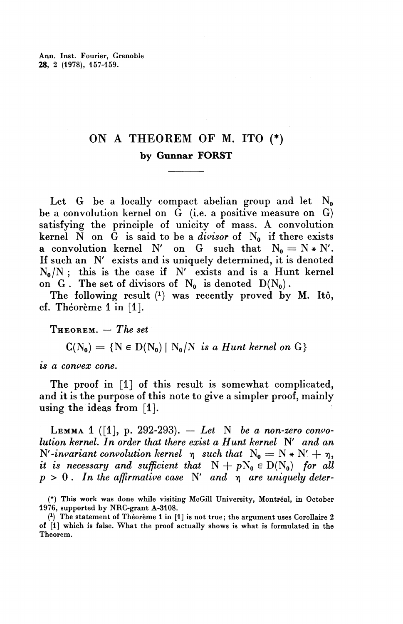## ON A THEOREM OF M. ITO  $(*)$ by Gunnar FORST

Let G be a locally compact abelian group and let  $N_0$ be a convolution kernel on  $\tilde{G}$  (i.e. a positive measure on  $G$ ) satisfying the principle of unicity of mass. A convolution kernel  $N$  on  $G$  is said to be a *divisor* of  $N_0$  if there exists a convolution kernel N' on G such that  $N_0 = N * N'$ . If such an N' exists and is uniquely determined, it is denoted  $N_0/N$ ; this is the case if N' exists and is a Hunt kernel on G. The set of divisors of  $N_0$  is denoted  $D(N_0)$ .

The following result (1) was recently proved by M. Itô, cf. Theoreme 1 in  $[1]$ .

THEOREM. — *The set*

 $C(N_0) = \{ N \in D(N_0) | N_0/N \text{ is a Hunt Kernel on } G \}$ 

*is a convex cone.*

The proof in [1] of this result is somewhat complicated, and it is the purpose of this note to give a simpler proof, mainly using the ideas from [1].

LEMMA 1 ([I], p. 292-293). — *Let* N *be a non-zero convolution kernel. In order that there exist a Hunt kernel* N' *and an*  $N'$ -invariant convolution kernel  $\eta$  such that  $N_0 = N * N' + \eta$ , *it is necessary and sufficient that*  $N + pN_0 \in D(N_0)$  for all  $p > 0$ . In the affirmative case N' and  $p$  are uniquely deter-

<sup>(\*)</sup> This work was done while visiting McGill University, Montreal, in October 1976, supported by NRC-grant A-3108.

<sup>(</sup> 1 ) The statement of Theoreme 1 in [1] is not true; the argument uses Corollaire 2 of [1] which is false. What the proof actually shows is what is formulated in the Theorem.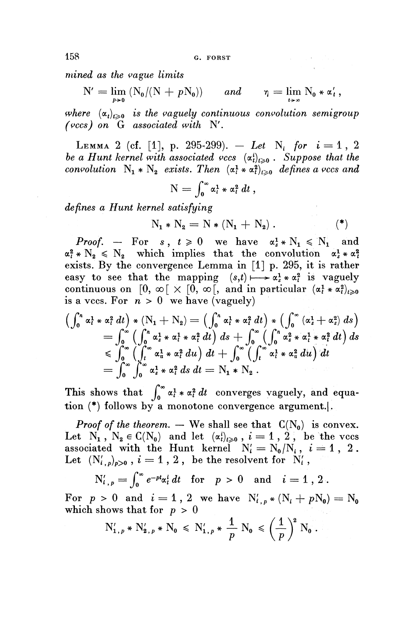158 G. FORST

*mined as the vague limits*

$$
N' = \lim_{p \to 0} (N_0/(N + pN_0)) \quad and \quad \eta = \lim_{t \to \infty} N_0 * \alpha'_t,
$$

where  $(\alpha_t)_{t\geq 0}$  is the vaguely continuous convolution semigroup *(vccs) on* G *associated with* N'.

LEMMA 2 (cf. [1], p. 295-299). - Let N<sub>i</sub> for  $i = 1, 2$ be a Hunt kernel with associated vccs  $(\alpha_t^i)_{t\geqslant0}$ . Suppose that the *convolution*  $N_1 * N_2$  *exists. Then*  $(\alpha_i^1 * \alpha_i^2)_{i>0}$  *defines a vccs and* 

$$
N=\int_0^\infty \alpha_t^1*\alpha_t^2\,dt\,,
$$

*defines a Hunt kernel satisfying*

$$
N_1 * N_2 = N * (N_1 + N_2).
$$
 (\*)

 $\mathcal{L} = \{ \mathbf{x}_1, \dots, \mathbf{x}_n \}$  .

*Proof.* – For  $s, t \ge 0$  we have  $\alpha_s^1 * N_1 \le N_1$  and  $\alpha_i^2 * N_2 \leq N_2$  which implies that the convolution  $\alpha_i^1 * \alpha_i^2$ exists. By the convergence Lemma in [1] p. 295, it is rather easy to see that the mapping  $(s,t) \mapsto \alpha_s^1 * \alpha_t^2$  is vaguely continuous on  $[0, \infty) \times [0, \infty)$ , and in particular  $(\alpha_i^1 * \alpha_i^2)_{i \geq 0}$ is a vccs. For  $n > 0$  we have (vaguely)

is a vecs. For 
$$
h > 0
$$
 we have (vaguery)  
\n
$$
\left(\int_0^h \alpha_t^1 * \alpha_t^2 dt\right) * (N_1 + N_2) = \left(\int_0^h \alpha_t^1 * \alpha_t^2 dt\right) * \left(\int_0^{\infty} (\alpha_s^1 + \alpha_s^2) ds\right)
$$
\n
$$
= \int_0^{\infty} \left(\int_0^h \alpha_s^1 * \alpha_t^1 * \alpha_t^2 dt\right) ds + \int_0^{\infty} \left(\int_0^h \alpha_s^2 * \alpha_t^1 * \alpha_t^2 dt\right) ds
$$
\n
$$
\leq \int_0^{\infty} \left(\int_t^{\infty} \alpha_u^1 * \alpha_t^2 du\right) dt + \int_0^{\infty} \left(\int_t^{\infty} \alpha_t^1 * \alpha_u^2 du\right) dt
$$
\n
$$
= \int_0^{\infty} \int_0^{\infty} \alpha_s^1 * \alpha_t^2 ds dt = N_1 * N_2.
$$

This shows that  $\int_{0}^{\infty} \alpha_{t}^{1} * \alpha_{t}^{2} dt$  converges vaguely, and equation (\*) follows by a monotone convergence argument.

*Proof of the theorem.* — We shall see that  $C(N_0)$  is convex. Let  $N_1$ ,  $N_2 \in C(N_0)$  and let  $(\alpha_i^i)_{i \geq 0}$ ,  $i = 1, 2$ , be the vccs associated with the Hunt kernel  $N_i' = N_0/N_i$ ,  $i = 1, 2$ . Let  $(N'_{i,p})_{p>0}$ ,  $i=1, 2$ , be the resolvent for  $N'_{i}$ ,

$$
N'_{i,p} = \int_0^\infty e^{-pt} \alpha_i^i dt \text{ for } p > 0 \text{ and } i = 1, 2.
$$

For  $p > 0$  and  $i = 1$ , 2 we have  $N'_{i,p} * (N_i + pN_0) = N_0$ which shows that for *p >* 0

$$
N'_{1,p} * N'_{2,p} * N_0 \le N'_{1,p} * \frac{1}{p} N_0 \le \left(\frac{1}{p}\right)^2 N_0.
$$